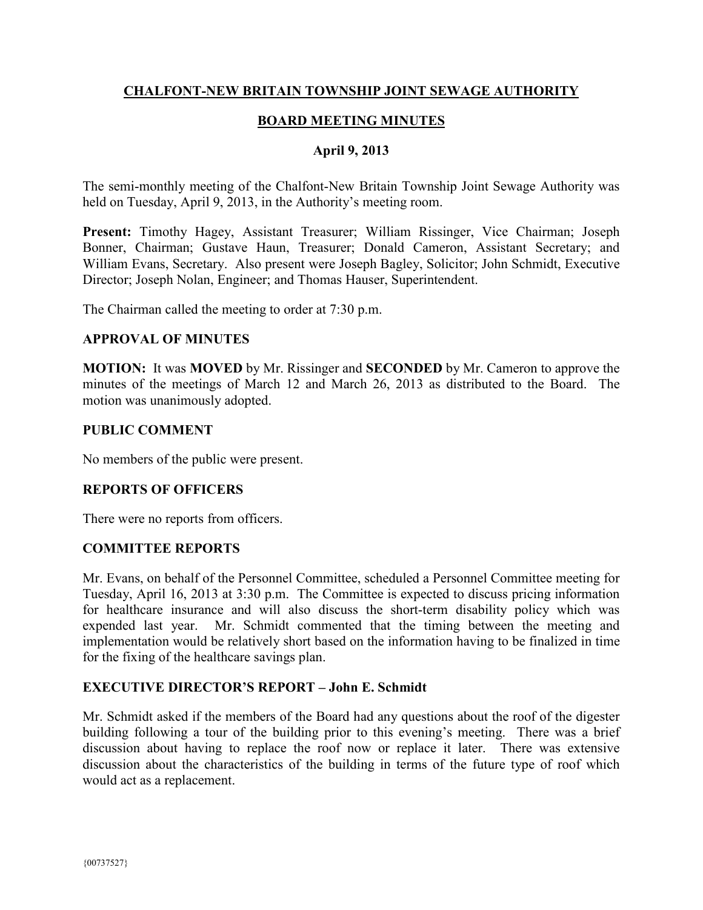# **CHALFONT-NEW BRITAIN TOWNSHIP JOINT SEWAGE AUTHORITY**

# **BOARD MEETING MINUTES**

#### **April 9, 2013**

The semi-monthly meeting of the Chalfont-New Britain Township Joint Sewage Authority was held on Tuesday, April 9, 2013, in the Authority's meeting room.

**Present:** Timothy Hagey, Assistant Treasurer; William Rissinger, Vice Chairman; Joseph Bonner, Chairman; Gustave Haun, Treasurer; Donald Cameron, Assistant Secretary; and William Evans, Secretary. Also present were Joseph Bagley, Solicitor; John Schmidt, Executive Director; Joseph Nolan, Engineer; and Thomas Hauser, Superintendent.

The Chairman called the meeting to order at 7:30 p.m.

#### **APPROVAL OF MINUTES**

**MOTION:** It was **MOVED** by Mr. Rissinger and **SECONDED** by Mr. Cameron to approve the minutes of the meetings of March 12 and March 26, 2013 as distributed to the Board. The motion was unanimously adopted.

#### **PUBLIC COMMENT**

No members of the public were present.

### **REPORTS OF OFFICERS**

There were no reports from officers.

### **COMMITTEE REPORTS**

Mr. Evans, on behalf of the Personnel Committee, scheduled a Personnel Committee meeting for Tuesday, April 16, 2013 at 3:30 p.m. The Committee is expected to discuss pricing information for healthcare insurance and will also discuss the short-term disability policy which was expended last year. Mr. Schmidt commented that the timing between the meeting and implementation would be relatively short based on the information having to be finalized in time for the fixing of the healthcare savings plan.

### **EXECUTIVE DIRECTOR'S REPORT – John E. Schmidt**

Mr. Schmidt asked if the members of the Board had any questions about the roof of the digester building following a tour of the building prior to this evening's meeting. There was a brief discussion about having to replace the roof now or replace it later. There was extensive discussion about the characteristics of the building in terms of the future type of roof which would act as a replacement.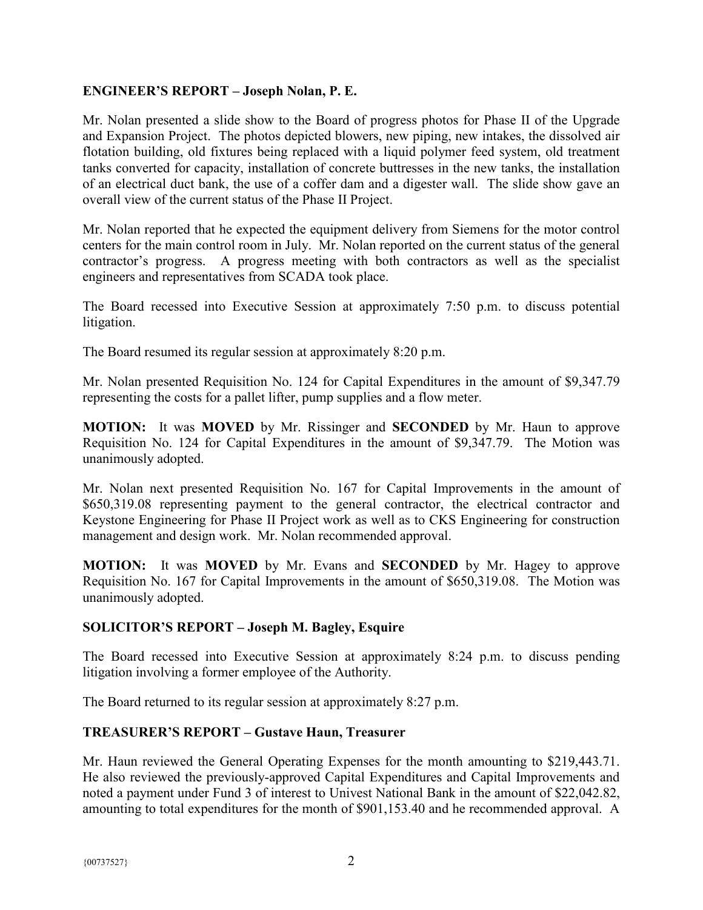## **ENGINEER'S REPORT – Joseph Nolan, P. E.**

Mr. Nolan presented a slide show to the Board of progress photos for Phase II of the Upgrade and Expansion Project. The photos depicted blowers, new piping, new intakes, the dissolved air flotation building, old fixtures being replaced with a liquid polymer feed system, old treatment tanks converted for capacity, installation of concrete buttresses in the new tanks, the installation of an electrical duct bank, the use of a coffer dam and a digester wall. The slide show gave an overall view of the current status of the Phase II Project.

Mr. Nolan reported that he expected the equipment delivery from Siemens for the motor control centers for the main control room in July. Mr. Nolan reported on the current status of the general contractor's progress. A progress meeting with both contractors as well as the specialist engineers and representatives from SCADA took place.

The Board recessed into Executive Session at approximately 7:50 p.m. to discuss potential litigation.

The Board resumed its regular session at approximately 8:20 p.m.

Mr. Nolan presented Requisition No. 124 for Capital Expenditures in the amount of \$9,347.79 representing the costs for a pallet lifter, pump supplies and a flow meter.

**MOTION:** It was **MOVED** by Mr. Rissinger and **SECONDED** by Mr. Haun to approve Requisition No. 124 for Capital Expenditures in the amount of \$9,347.79. The Motion was unanimously adopted.

Mr. Nolan next presented Requisition No. 167 for Capital Improvements in the amount of \$650,319.08 representing payment to the general contractor, the electrical contractor and Keystone Engineering for Phase II Project work as well as to CKS Engineering for construction management and design work. Mr. Nolan recommended approval.

**MOTION:** It was **MOVED** by Mr. Evans and **SECONDED** by Mr. Hagey to approve Requisition No. 167 for Capital Improvements in the amount of \$650,319.08. The Motion was unanimously adopted.

### **SOLICITOR'S REPORT – Joseph M. Bagley, Esquire**

The Board recessed into Executive Session at approximately 8:24 p.m. to discuss pending litigation involving a former employee of the Authority.

The Board returned to its regular session at approximately 8:27 p.m.

### **TREASURER'S REPORT – Gustave Haun, Treasurer**

Mr. Haun reviewed the General Operating Expenses for the month amounting to \$219,443.71. He also reviewed the previously-approved Capital Expenditures and Capital Improvements and noted a payment under Fund 3 of interest to Univest National Bank in the amount of \$22,042.82, amounting to total expenditures for the month of \$901,153.40 and he recommended approval. A